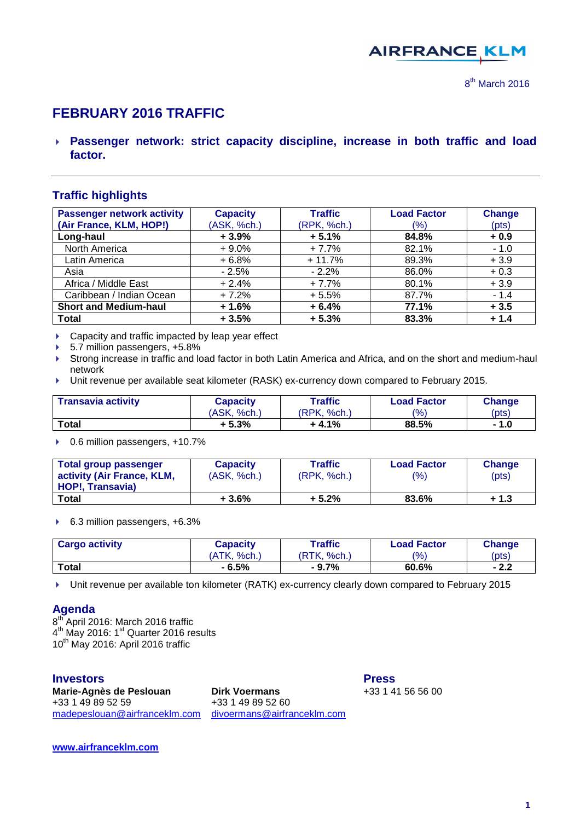

8<sup>th</sup> March 2016

# **FEBRUARY 2016 TRAFFIC**

 **Passenger network: strict capacity discipline, increase in both traffic and load factor.**

# **Traffic highlights**

| <b>Passenger network activity</b> | <b>Capacity</b> | <b>Traffic</b> | <b>Load Factor</b> | <b>Change</b> |
|-----------------------------------|-----------------|----------------|--------------------|---------------|
| (Air France, KLM, HOP!)           | (ASK, %ch.)     | (RPK, %ch.)    | (%)                | (pts)         |
| Long-haul                         | $+3.9%$         | $+5.1%$        | 84.8%              | $+0.9$        |
| North America                     | $+9.0%$         | $+7.7%$        | 82.1%              | $-1.0$        |
| Latin America                     | $+6.8%$         | $+11.7%$       | 89.3%              | $+3.9$        |
| Asia                              | $-2.5%$         | $-2.2%$        | 86.0%              | $+0.3$        |
| Africa / Middle East              | $+2.4%$         | $+7.7%$        | 80.1%              | $+3.9$        |
| Caribbean / Indian Ocean          | $+7.2%$         | $+5.5%$        | 87.7%              | $-1.4$        |
| <b>Short and Medium-haul</b>      | $+1.6%$         | $+6.4%$        | 77.1%              | $+3.5$        |
| <b>Total</b>                      | $+3.5%$         | $+5.3%$        | 83.3%              | $+1.4$        |

- ▶ Capacity and traffic impacted by leap year effect
- ▶ 5.7 million passengers, +5.8%
- Strong increase in traffic and load factor in both Latin America and Africa, and on the short and medium-haul network
- Unit revenue per available seat kilometer (RASK) ex-currency down compared to February 2015.

| <b>Transavia activity</b> | Capacity    | Traffic     | Load Factor    | <b>Change</b> |
|---------------------------|-------------|-------------|----------------|---------------|
|                           | (ASK, %ch.) | (RPK, %ch.) | $\frac{10}{6}$ | (pts)         |
| Total                     | $+5.3%$     | $+4.1\%$    | 88.5%          | - 1.0         |

▶ 0.6 million passengers, +10.7%

| Total group passenger                                 | <b>Capacity</b> | <b>Traffic</b> | <b>Load Factor</b> | <b>Change</b> |
|-------------------------------------------------------|-----------------|----------------|--------------------|---------------|
| activity (Air France, KLM,<br><b>HOP!. Transavia)</b> | (ASK, %ch.)     | (RPK, %ch.)    | (9/6)              | (pts)         |
| <b>Total</b>                                          | $+3.6%$         | $+5.2%$        | 83.6%              | + 1.3         |

#### ▶ 6.3 million passengers, +6.3%

| <b>Cargo activity</b> | Capacity          | Traffic                | <b>Load Factor</b> | <b>Change</b> |
|-----------------------|-------------------|------------------------|--------------------|---------------|
|                       | 'ATK.<br>$%$ ch.) | <b>RTK.</b><br>$%$ ch. | $\frac{10}{6}$     | (pts)         |
| <b>Total</b>          | $-6.5%$           | $-9.7\%$               | 60.6%              | - 2.2         |

Unit revenue per available ton kilometer (RATK) ex-currency clearly down compared to February 2015

#### **Agenda**

8<sup>th</sup> April 2016: March 2016 traffic 4<sup>th</sup> May 2016: 1<sup>st</sup> Quarter 2016 results  $10^{th}$  May 2016: April 2016 traffic

**Marie-Agnès de Peslouan birk Voermans** +33 1 49 89 52 59 +33 1 49 89 52 60 [madepeslouan@airfranceklm.com](mailto:madepeslouan@airfranceklm.com) [divoermans@airfranceklm.com](mailto:divoermans@airfranceklm.com)

**Investors Press**

**[www.airfranceklm.com](http://www.airfranceklm.com/)**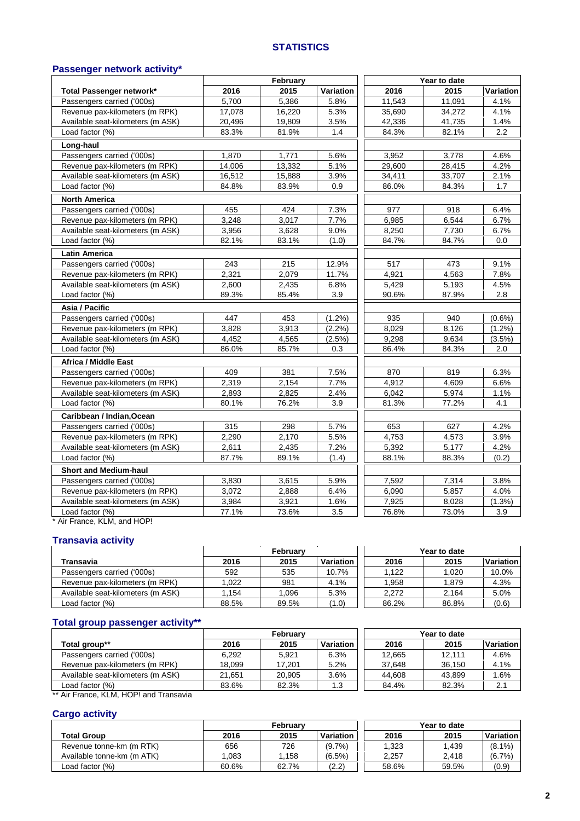#### **STATISTICS**

#### **Passenger network activity\***

|                                   |        | February |           |        | Year to date |           |
|-----------------------------------|--------|----------|-----------|--------|--------------|-----------|
| Total Passenger network*          | 2016   | 2015     | Variation | 2016   | 2015         | Variation |
| Passengers carried ('000s)        | 5,700  | 5,386    | 5.8%      | 11,543 | 11,091       | 4.1%      |
| Revenue pax-kilometers (m RPK)    | 17,078 | 16,220   | 5.3%      | 35,690 | 34,272       | 4.1%      |
| Available seat-kilometers (m ASK) | 20,496 | 19,809   | 3.5%      | 42,336 | 41,735       | 1.4%      |
| Load factor (%)                   | 83.3%  | 81.9%    | 1.4       | 84.3%  | 82.1%        | 2.2       |
| Long-haul                         |        |          |           |        |              |           |
| Passengers carried ('000s)        | 1,870  | 1,771    | 5.6%      | 3,952  | 3,778        | 4.6%      |
| Revenue pax-kilometers (m RPK)    | 14,006 | 13,332   | 5.1%      | 29,600 | 28,415       | 4.2%      |
| Available seat-kilometers (m ASK) | 16,512 | 15,888   | 3.9%      | 34,411 | 33,707       | 2.1%      |
| Load factor (%)                   | 84.8%  | 83.9%    | 0.9       | 86.0%  | 84.3%        | 1.7       |
| <b>North America</b>              |        |          |           |        |              |           |
| Passengers carried ('000s)        | 455    | 424      | 7.3%      | 977    | 918          | 6.4%      |
| Revenue pax-kilometers (m RPK)    | 3,248  | 3,017    | 7.7%      | 6,985  | 6,544        | 6.7%      |
| Available seat-kilometers (m ASK) | 3,956  | 3,628    | 9.0%      | 8,250  | 7,730        | 6.7%      |
| Load factor (%)                   | 82.1%  | 83.1%    | (1.0)     | 84.7%  | 84.7%        | 0.0       |
| <b>Latin America</b>              |        |          |           |        |              |           |
| Passengers carried ('000s)        | 243    | 215      | 12.9%     | 517    | 473          | 9.1%      |
| Revenue pax-kilometers (m RPK)    | 2,321  | 2,079    | 11.7%     | 4,921  | 4,563        | 7.8%      |
| Available seat-kilometers (m ASK) | 2,600  | 2,435    | 6.8%      | 5,429  | 5,193        | 4.5%      |
| Load factor (%)                   | 89.3%  | 85.4%    | 3.9       | 90.6%  | 87.9%        | 2.8       |
| Asia / Pacific                    |        |          |           |        |              |           |
| Passengers carried ('000s)        | 447    | 453      | $(1.2\%)$ | 935    | 940          | $(0.6\%)$ |
| Revenue pax-kilometers (m RPK)    | 3,828  | 3,913    | (2.2%)    | 8,029  | 8,126        | $(1.2\%)$ |
| Available seat-kilometers (m ASK) | 4,452  | 4,565    | $(2.5\%)$ | 9,298  | 9,634        | $(3.5\%)$ |
| Load factor (%)                   | 86.0%  | 85.7%    | 0.3       | 86.4%  | 84.3%        | 2.0       |
| <b>Africa / Middle East</b>       |        |          |           |        |              |           |
| Passengers carried ('000s)        | 409    | 381      | 7.5%      | 870    | 819          | 6.3%      |
| Revenue pax-kilometers (m RPK)    | 2,319  | 2,154    | 7.7%      | 4,912  | 4,609        | 6.6%      |
| Available seat-kilometers (m ASK) | 2,893  | 2,825    | 2.4%      | 6,042  | 5,974        | 1.1%      |
| Load factor (%)                   | 80.1%  | 76.2%    | 3.9       | 81.3%  | 77.2%        | 4.1       |
| Caribbean / Indian, Ocean         |        |          |           |        |              |           |
| Passengers carried ('000s)        | 315    | 298      | 5.7%      | 653    | 627          | 4.2%      |
| Revenue pax-kilometers (m RPK)    | 2,290  | 2,170    | 5.5%      | 4,753  | 4,573        | 3.9%      |
| Available seat-kilometers (m ASK) | 2,611  | 2,435    | 7.2%      | 5,392  | 5,177        | 4.2%      |
| Load factor (%)                   | 87.7%  | 89.1%    | (1.4)     | 88.1%  | 88.3%        | (0.2)     |
| <b>Short and Medium-haul</b>      |        |          |           |        |              |           |
| Passengers carried ('000s)        | 3,830  | 3,615    | 5.9%      | 7,592  | 7,314        | 3.8%      |
| Revenue pax-kilometers (m RPK)    | 3,072  | 2,888    | 6.4%      | 6,090  | 5,857        | 4.0%      |
| Available seat-kilometers (m ASK) | 3,984  | 3,921    | 1.6%      | 7,925  | 8,028        | (1.3%)    |
| Load factor (%)                   | 77.1%  | 73.6%    | 3.5       | 76.8%  | 73.0%        | 3.9       |

\* Air France, KLM, and HOP!

#### **Transavia activity**

|                                   | February |       |                  |       | Year to date |           |
|-----------------------------------|----------|-------|------------------|-------|--------------|-----------|
| Transavia                         | 2016     | 2015  | <b>Variation</b> | 2016  | 2015         | Variation |
| Passengers carried ('000s)        | 592      | 535   | 10.7%            | 1.122 | 1.020        | 10.0%     |
| Revenue pax-kilometers (m RPK)    | 1.022    | 981   | 4.1%             | 1.958 | 1.879        | 4.3%      |
| Available seat-kilometers (m ASK) | 1.154    | .096  | 5.3%             | 2.272 | 2,164        | 5.0%      |
| Load factor (%)                   | 88.5%    | 89.5% | 1.0)             | 86.2% | 86.8%        | (0.6)     |

# **Total group passenger activity\*\***

| February |        |           |        |        |              |
|----------|--------|-----------|--------|--------|--------------|
| 2016     | 2015   | Variation | 2016   | 2015   | Variation    |
| 6.292    | 5.921  | 6.3%      | 12.665 | 12.111 | 4.6%         |
| 18.099   | 17.201 | 5.2%      | 37.648 | 36.150 | 4.1%         |
| 21.651   | 20,905 | 3.6%      | 44.608 | 43.899 | 1.6%         |
| 83.6%    | 82.3%  | 1.3       | 84.4%  | 82.3%  | 2.1          |
|          |        |           |        |        | Year to date |

Air France, KLM, HOP! and Transavia

#### **Cargo activity**

|                            | February |       |                                  |       | Year to date |           |
|----------------------------|----------|-------|----------------------------------|-------|--------------|-----------|
| <b>Total Group</b>         | 2016     | 2015  | Variation                        | 2016  | 2015         | Variation |
| Revenue tonne-km (m RTK)   | 656      | 726   | $(9.7\%)$                        | 1.323 | ∣.439        | $(8.1\%)$ |
| Available tonne-km (m ATK) | .083     | .158  | $(6.5\%)$                        | 2.257 | 2.418        | (6.7%     |
| Load factor (%)            | 60.6%    | 62.7% | (2.2)<br>$\epsilon$ . $\epsilon$ | 58.6% | 59.5%        | (0.9)     |